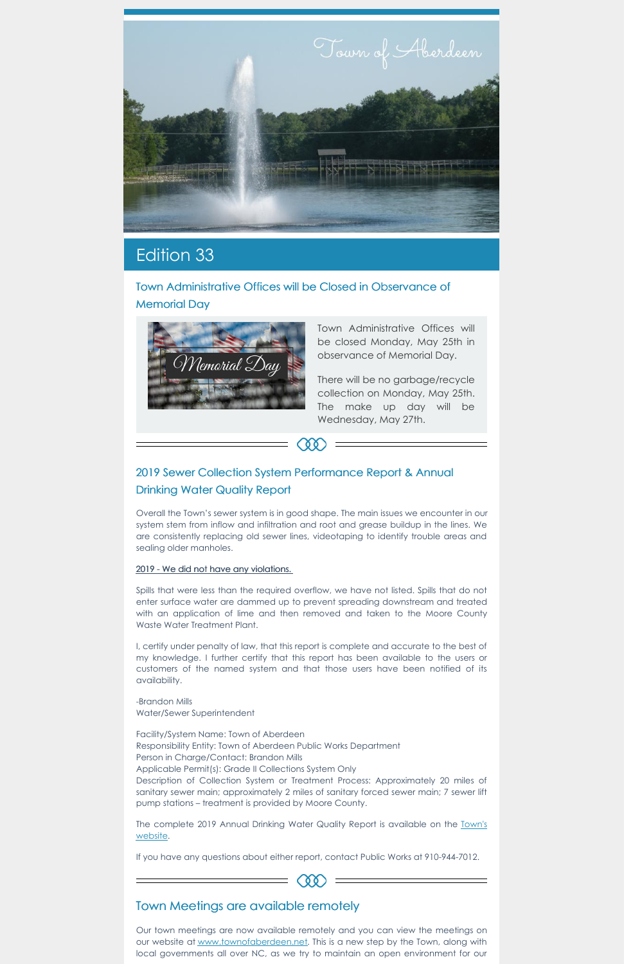

## Edition 33

Town Administrative Offices will be Closed in Observance of Memorial Day



Town Administrative Offices will be closed Monday, May 25th in observance of Memorial Day.

There will be no garbage/recycle collection on Monday, May 25th. The make up day will be Wednesday, May 27th.

## 2019 Sewer Collection System Performance Report & Annual Drinking Water Quality Report

Overall the Town's sewer system is in good shape. The main issues we encounter in our system stem from inflow and infiltration and root and grease buildup in the lines. We are consistently replacing old sewer lines, videotaping to identify trouble areas and sealing older manholes.

00

## 2019 - We did not have any violations.

Spills that were less than the required overflow, we have not listed. Spills that do not enter surface water are dammed up to prevent spreading downstream and treated with an application of lime and then removed and taken to the Moore County Waste Water Treatment Plant.

I, certify under penalty of law, that this report is complete and accurate to the best of my knowledge. I further certify that this report has been available to the users or customers of the named system and that those users have been notified of its availability.

-Brandon Mills

Water/Sewer Superintendent

Facility/System Name: Town of Aberdeen Responsibility Entity: Town of Aberdeen Public Works Department Person in Charge/Contact: Brandon Mills Applicable Permit(s): Grade II Collections System Only Description of Collection System or Treatment Process: Approximately 20 miles of sanitary sewer main; approximately 2 miles of sanitary forced sewer main; 7 sewer lift pump stations – treatment is provided by Moore County.

The [complete](https://www.townofaberdeen.net/files/documents/2019AnnualDrinkingWaterQualityReport135124622050620PM.pdf) 2019 Annual Drinking Water Quality Report is available on the Town's website.

If you have any questions about either report, contact Public Works at 910-944-7012.

COO

## Town Meetings are available remotely

Our town meetings are now available remotely and you can view the meetings on our website at [www.townofaberdeen.net](http://www.townofaberdeen.net). This is a new step by the Town, along with local governments all over NC, as we try to maintain an open environment for our